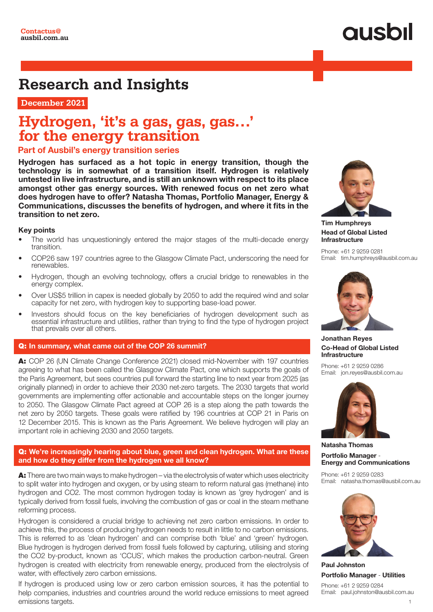# **QUSOI**

## **Research and Insights**

 **December 2021**

### **Hydrogen, 'it's a gas, gas, gas…' for the energy transition**

### Part of Ausbil's energy transition series

Hydrogen has surfaced as a hot topic in energy transition, though the technology is in somewhat of a transition itself. Hydrogen is relatively untested in live infrastructure, and is still an unknown with respect to its place amongst other gas energy sources. With renewed focus on net zero what does hydrogen have to offer? Natasha Thomas, Portfolio Manager, Energy & Communications, discusses the benefits of hydrogen, and where it fits in the transition to net zero.

#### Key points

- The world has unquestioningly entered the major stages of the multi-decade energy transition.
- COP26 saw 197 countries agree to the Glasgow Climate Pact, underscoring the need for renewables.
- Hydrogen, though an evolving technology, offers a crucial bridge to renewables in the energy complex.
- Over US\$5 trillion in capex is needed globally by 2050 to add the required wind and solar capacity for net zero, with hydrogen key to supporting base-load power.
- Investors should focus on the key beneficiaries of hydrogen development such as essential infrastructure and utilities, rather than trying to find the type of hydrogen project that prevails over all others.

#### Q: In summary, what came out of the COP 26 summit?

A: COP 26 (UN Climate Change Conference 2021) closed mid-November with 197 countries agreeing to what has been called the Glasgow Climate Pact, one which supports the goals of the Paris Agreement, but sees countries pull forward the starting line to next year from 2025 (as originally planned) in order to achieve their 2030 net-zero targets. The 2030 targets that world governments are implementing offer actionable and accountable steps on the longer journey to 2050. The Glasgow Climate Pact agreed at COP 26 is a step along the path towards the net zero by 2050 targets. These goals were ratified by 196 countries at COP 21 in Paris on 12 December 2015. This is known as the Paris Agreement. We believe hydrogen will play an important role in achieving 2030 and 2050 targets.

#### Q: We're increasingly hearing about blue, green and clean hydrogen. What are these and how do they differ from the hydrogen we all know?

A: There are two main ways to make hydrogen – via the electrolysis of water which uses electricity to split water into hydrogen and oxygen, or by using steam to reform natural gas (methane) into hydrogen and CO2. The most common hydrogen today is known as 'grey hydrogen' and is typically derived from fossil fuels, involving the combustion of gas or coal in the steam methane reforming process.

Hydrogen is considered a crucial bridge to achieving net zero carbon emissions. In order to achieve this, the process of producing hydrogen needs to result in little to no carbon emissions. This is referred to as 'clean hydrogen' and can comprise both 'blue' and 'green' hydrogen. Blue hydrogen is hydrogen derived from fossil fuels followed by capturing, utilising and storing the CO2 by-product, known as 'CCUS', which makes the production carbon-neutral. Green hydrogen is created with electricity from renewable energy, produced from the electrolysis of water, with effectively zero carbon emissions.

If hydrogen is produced using low or zero carbon emission sources, it has the potential to help companies, industries and countries around the world reduce emissions to meet agreed emissions targets.



Tim Humphreys Head of Global Listed **Infrastructure** 

Phone: +61 2 9259 0281 Email: tim.humphreys@ausbil.com.au



Jonathan Reyes Co-Head of Global Listed Infrastructure

Phone: +61 2 9259 0286 Email: jon.reyes@ausbil.com.au



Natasha Thomas Portfolio Manager - Energy and Communications

Phone: +61 2 9259 0283 Email: natasha.thomas@ausbil.com.au



Paul Johnston Portfolio Manager - Utilities Phone: +61 2 9259 0284

Email: paul.johnston@ausbil.com.au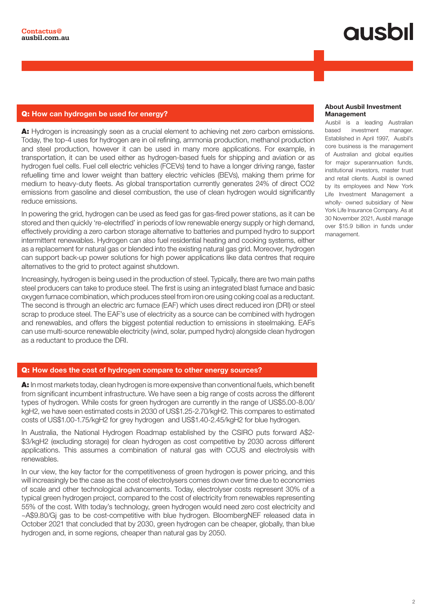# qusbil

#### Q: How can hydrogen be used for energy?

A: Hydrogen is increasingly seen as a crucial element to achieving net zero carbon emissions. Today, the top-4 uses for hydrogen are in oil refining, ammonia production, methanol production and steel production, however it can be used in many more applications. For example, in transportation, it can be used either as hydrogen-based fuels for shipping and aviation or as hydrogen fuel cells. Fuel cell electric vehicles (FCEVs) tend to have a longer driving range, faster refuelling time and lower weight than battery electric vehicles (BEVs), making them prime for medium to heavy-duty fleets. As global transportation currently generates 24% of direct CO2 emissions from gasoline and diesel combustion, the use of clean hydrogen would significantly reduce emissions.

In powering the grid, hydrogen can be used as feed gas for gas-fired power stations, as it can be stored and then quickly 're-electrified' in periods of low renewable energy supply or high demand, effectively providing a zero carbon storage alternative to batteries and pumped hydro to support intermittent renewables. Hydrogen can also fuel residential heating and cooking systems, either as a replacement for natural gas or blended into the existing natural gas grid. Moreover, hydrogen can support back-up power solutions for high power applications like data centres that require alternatives to the grid to protect against shutdown.

Increasingly, hydrogen is being used in the production of steel. Typically, there are two main paths steel producers can take to produce steel. The first is using an integrated blast furnace and basic oxygen furnace combination, which produces steel from iron ore using coking coal as a reductant. The second is through an electric arc furnace (EAF) which uses direct reduced iron (DRI) or steel scrap to produce steel. The EAF's use of electricity as a source can be combined with hydrogen and renewables, and offers the biggest potential reduction to emissions in steelmaking. EAFs can use multi-source renewable electricity (wind, solar, pumped hydro) alongside clean hydrogen as a reductant to produce the DRI.

### Q: How does the cost of hydrogen compare to other energy sources?

A: In most markets today, clean hydrogen is more expensive than conventional fuels, which benefit from significant incumbent infrastructure. We have seen a big range of costs across the different types of hydrogen. While costs for green hydrogen are currently in the range of US\$5.00-8.00/ kgH2, we have seen estimated costs in 2030 of US\$1.25-2.70/kgH2. This compares to estimated costs of US\$1.00-1.75/kgH2 for grey hydrogen and US\$1.40-2.45/kgH2 for blue hydrogen.

In Australia, the National Hydrogen Roadmap established by the CSIRO puts forward A\$2- \$3/kgH2 (excluding storage) for clean hydrogen as cost competitive by 2030 across different applications. This assumes a combination of natural gas with CCUS and electrolysis with renewables.

In our view, the key factor for the competitiveness of green hydrogen is power pricing, and this will increasingly be the case as the cost of electrolysers comes down over time due to economies of scale and other technological advancements. Today, electrolyser costs represent 30% of a typical green hydrogen project, compared to the cost of electricity from renewables representing 55% of the cost. With today's technology, green hydrogen would need zero cost electricity and ~A\$9.80/Gj gas to be cost-competitive with blue hydrogen. BloombergNEF released data in October 2021 that concluded that by 2030, green hydrogen can be cheaper, globally, than blue hydrogen and, in some regions, cheaper than natural gas by 2050.

#### About Ausbil Investment Management

Ausbil is a leading Australian based investment manager. Established in April 1997, Ausbil's core business is the management of Australian and global equities for major superannuation funds, institutional investors, master trust and retail clients. Ausbil is owned by its employees and New York Life Investment Management a wholly- owned subsidiary of New York Life Insurance Company. As at 30 November 2021, Ausbil manage over \$15.9 billion in funds under management.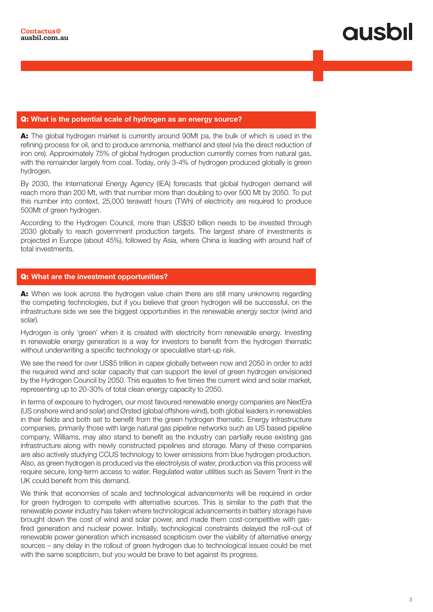## qusbi

#### Q: What is the potential scale of hydrogen as an energy source?

A: The global hydrogen market is currently around 90Mt pa, the bulk of which is used in the refining process for oil, and to produce ammonia, methanol and steel (via the direct reduction of iron ore). Approximately 75% of global hydrogen production currently comes from natural gas, with the remainder largely from coal. Today, only 3-4% of hydrogen produced globally is green hydrogen.

By 2030, the International Energy Agency (IEA) forecasts that global hydrogen demand will reach more than 200 Mt, with that number more than doubling to over 500 Mt by 2050. To put this number into context, 25,000 terawatt hours (TWh) of electricity are required to produce 500Mt of green hydrogen.

According to the Hydrogen Council, more than US\$30 billion needs to be invested through 2030 globally to reach government production targets. The largest share of investments is projected in Europe (about 45%), followed by Asia, where China is leading with around half of total investments.

#### Q: What are the investment opportunities?

A: When we look across the hydrogen value chain there are still many unknowns regarding the competing technologies, but if you believe that green hydrogen will be successful, on the infrastructure side we see the biggest opportunities in the renewable energy sector (wind and solar).

Hydrogen is only 'green' when it is created with electricity from renewable energy. Investing in renewable energy generation is a way for investors to benefit from the hydrogen thematic without underwriting a specific technology or speculative start-up risk.

We see the need for over US\$5 trillion in capex globally between now and 2050 in order to add the required wind and solar capacity that can support the level of green hydrogen envisioned by the Hydrogen Council by 2050. This equates to five times the current wind and solar market, representing up to 20-30% of total clean energy capacity to 2050.

In terms of exposure to hydrogen, our most favoured renewable energy companies are NextEra (US onshore wind and solar) and Ørsted (global offshore wind), both global leaders in renewables in their fields and both set to benefit from the green hydrogen thematic. Energy infrastructure companies, primarily those with large natural gas pipeline networks such as US based pipeline company, Williams, may also stand to benefit as the industry can partially reuse existing gas infrastructure along with newly constructed pipelines and storage. Many of these companies are also actively studying CCUS technology to lower emissions from blue hydrogen production. Also, as green hydrogen is produced via the electrolysis of water, production via this process will require secure, long-term access to water. Regulated water utilities such as Severn Trent in the UK could benefit from this demand.

We think that economies of scale and technological advancements will be required in order for green hydrogen to compete with alternative sources. This is similar to the path that the renewable power industry has taken where technological advancements in battery storage have brought down the cost of wind and solar power, and made them cost-competitive with gasfired generation and nuclear power. Initially, technological constraints delayed the roll-out of renewable power generation which increased scepticism over the viability of alternative energy sources – any delay in the rollout of green hydrogen due to technological issues could be met with the same scepticism, but you would be brave to bet against its progress.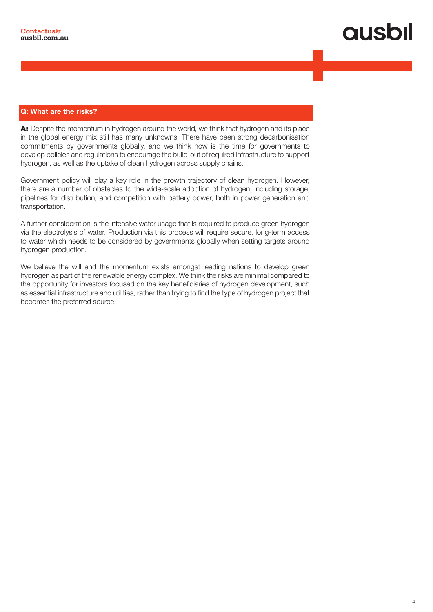#### Q: What are the risks?

A: Despite the momentum in hydrogen around the world, we think that hydrogen and its place in the global energy mix still has many unknowns. There have been strong decarbonisation commitments by governments globally, and we think now is the time for governments to develop policies and regulations to encourage the build-out of required infrastructure to support hydrogen, as well as the uptake of clean hydrogen across supply chains.

Government policy will play a key role in the growth trajectory of clean hydrogen. However, there are a number of obstacles to the wide-scale adoption of hydrogen, including storage, pipelines for distribution, and competition with battery power, both in power generation and transportation.

A further consideration is the intensive water usage that is required to produce green hydrogen via the electrolysis of water. Production via this process will require secure, long-term access to water which needs to be considered by governments globally when setting targets around hydrogen production.

We believe the will and the momentum exists amongst leading nations to develop green hydrogen as part of the renewable energy complex. We think the risks are minimal compared to the opportunity for investors focused on the key beneficiaries of hydrogen development, such as essential infrastructure and utilities, rather than trying to find the type of hydrogen project that becomes the preferred source.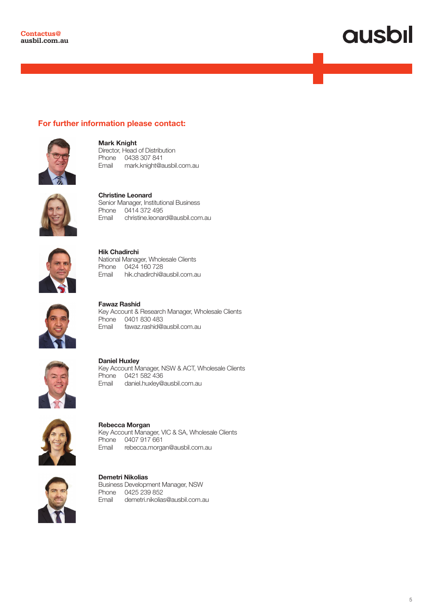# **ausbil**

### For further information please contact:



Mark Knight Director, Head of Distribution Phone 0438 307 841 Email mark.knight@ausbil.com.au



Christine Leonard Senior Manager, Institutional Business Phone 0414 372 495<br>Email christine.leonar christine.leonard@ausbil.com.au



Hik Chadirchi National Manager, Wholesale Clients Phone 0424 160 728<br>Email hik.chadirchi@a hik.chadirchi@ausbil.com.au



Fawaz Rashid Key Account & Research Manager, Wholesale Clients Phone 0401 830 483 Email fawaz.rashid@ausbil.com.au



Daniel Huxley Key Account Manager, NSW & ACT, Wholesale Clients Phone 0421 582 436 Email daniel.huxley@ausbil.com.au



Rebecca Morgan Key Account Manager, VIC & SA, Wholesale Clients Phone 0407 917 661 Email rebecca.morgan@ausbil.com.au



Demetri Nikolias Business Development Manager, NSW Phone 0425 239 852 Email demetri.nikolias@ausbil.com.au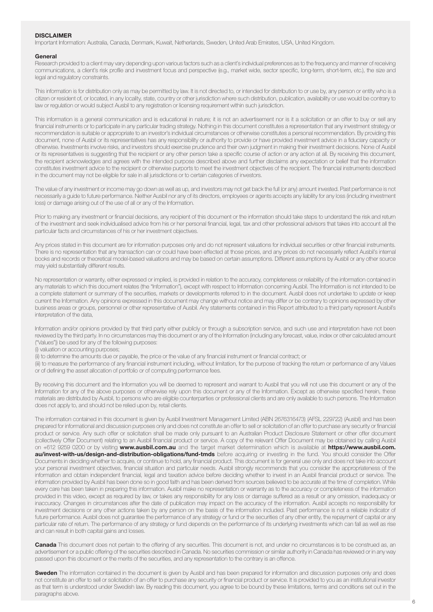#### **DISCLAIMER**

Important Information: Australia, Canada, Denmark, Kuwait, Netherlands, Sweden, United Arab Emirates, USA, United Kingdom.

#### **General**

Research provided to a client may vary depending upon various factors such as a client's individual preferences as to the frequency and manner of receiving communications, a client's risk profile and investment focus and perspective (e.g., market wide, sector specific, long-term, short-term, etc.), the size and legal and regulatory constraints.

This information is for distribution only as may be permitted by law. It is not directed to, or intended for distribution to or use by, any person or entity who is a citizen or resident of, or located, in any locality, state, country or other jurisdiction where such distribution, publication, availability or use would be contrary to law or regulation or would subject Ausbil to any registration or licensing requirement within such jurisdiction.

This information is a general communication and is educational in nature; it is not an advertisement nor is it a solicitation or an offer to buy or sell any financial instruments or to participate in any particular trading strategy. Nothing in this document constitutes a representation that any investment strategy or recommendation is suitable or appropriate to an investor's individual circumstances or otherwise constitutes a personal recommendation. By providing this document, none of Ausbil or its representatives has any responsibility or authority to provide or have provided investment advice in a fiduciary capacity or otherwise. Investments involve risks, and investors should exercise prudence and their own judgment in making their investment decisions. None of Ausbil or its representatives is suggesting that the recipient or any other person take a specific course of action or any action at all. By receiving this document, the recipient acknowledges and agrees with the intended purpose described above and further disclaims any expectation or belief that the information constitutes investment advice to the recipient or otherwise purports to meet the investment objectives of the recipient. The financial instruments described in the document may not be eligible for sale in all jurisdictions or to certain categories of investors.

The value of any investment or income may go down as well as up, and investors may not get back the full (or any) amount invested. Past performance is not necessarily a guide to future performance. Neither Ausbil nor any of its directors, employees or agents accepts any liability for any loss (including investment loss) or damage arising out of the use of all or any of the Information.

Prior to making any investment or financial decisions, any recipient of this document or the information should take steps to understand the risk and return of the investment and seek individualised advice from his or her personal financial, legal, tax and other professional advisors that takes into account all the particular facts and circumstances of his or her investment objectives.

Any prices stated in this document are for information purposes only and do not represent valuations for individual securities or other financial instruments. There is no representation that any transaction can or could have been effected at those prices, and any prices do not necessarily reflect Ausbil's internal books and records or theoretical model-based valuations and may be based on certain assumptions. Different assumptions by Ausbil or any other source may yield substantially different results.

No representation or warranty, either expressed or implied, is provided in relation to the accuracy, completeness or reliability of the information contained in any materials to which this document relates (the "Information"), except with respect to Information concerning Ausbil. The Information is not intended to be a complete statement or summary of the securities, markets or developments referred to in the document. Ausbil does not undertake to update or keep current the Information. Any opinions expressed in this document may change without notice and may differ or be contrary to opinions expressed by other business areas or groups, personnel or other representative of Ausbil. Any statements contained in this Report attributed to a third party represent Ausbil's interpretation of the data,

Information and/or opinions provided by that third party either publicly or through a subscription service, and such use and interpretation have not been reviewed by the third party. In no circumstances may this document or any of the Information (including any forecast, value, index or other calculated amount ("Values")) be used for any of the following purposes:

(i) valuation or accounting purposes;

(ii) to determine the amounts due or payable, the price or the value of any financial instrument or financial contract; or

(iii) to measure the performance of any financial instrument including, without limitation, for the purpose of tracking the return or performance of any Values or of defining the asset allocation of portfolio or of computing performance fees.

By receiving this document and the Information you will be deemed to represent and warrant to Ausbil that you will not use this document or any of the Information for any of the above purposes or otherwise rely upon this document or any of the Information. Except as otherwise specified herein, these materials are distributed by Ausbil, to persons who are eligible counterparties or professional clients and are only available to such persons. The Information does not apply to, and should not be relied upon by, retail clients.

The information contained in this document is given by Ausbil Investment Management Limited (ABN 2676316473) (AFSL 229722) (Ausbil) and has been prepared for informational and discussion purposes only and does not constitute an offer to sell or solicitation of an offer to purchase any security or financial product or service. Any such offer or solicitation shall be made only pursuant to an Australian Product Disclosure Statement or other offer document (collectively Offer Document) relating to an Ausbil financial product or service. A copy of the relevant Offer Document may be obtained by calling Ausbil on +612 9259 0200 or by visiting www.ausbil.com.au and the target market determination which is available at https://www.ausbil.com. au/invest-with-us/design-and-distribution-obligations/fund-tmds before acquiring or investing in the fund. You should consider the Offer Documents in deciding whether to acquire, or continue to hold, any financial product. This document is for general use only and does not take into account your personal investment objectives, financial situation and particular needs. Ausbil strongly recommends that you consider the appropriateness of the information and obtain independent financial, legal and taxation advice before deciding whether to invest in an Ausbil financial product or service. The information provided by Ausbil has been done so in good faith and has been derived from sources believed to be accurate at the time of completion. While every care has been taken in preparing this information. Ausbil make no representation or warranty as to the accuracy or completeness of the information provided in this video, except as required by law, or takes any responsibility for any loss or damage suffered as a result or any omission, inadequacy or inaccuracy. Changes in circumstances after the date of publication may impact on the accuracy of the information. Ausbil accepts no responsibility for investment decisions or any other actions taken by any person on the basis of the information included. Past performance is not a reliable indicator of future performance. Ausbil does not guarantee the performance of any strategy or fund or the securities of any other entity, the repayment of capital or any particular rate of return. The performance of any strategy or fund depends on the performance of its underlying investments which can fall as well as rise and can result in both capital gains and losses.

Canada This document does not pertain to the offering of any securities. This document is not, and under no circumstances is to be construed as, an advertisement or a public offering of the securities described in Canada. No securities commission or similar authority in Canada has reviewed or in any way passed upon this document or the merits of the securities, and any representation to the contrary is an offence.

Sweden The information contained in the document is given by Ausbil and has been prepared for information and discussion purposes only and does not constitute an offer to sell or solicitation of an offer to purchase any security or financial product or service. It is provided to you as an institutional investor as that term is understood under Swedish law. By reading this document, you agree to be bound by these limitations, terms and conditions set out in the paragraphs above.